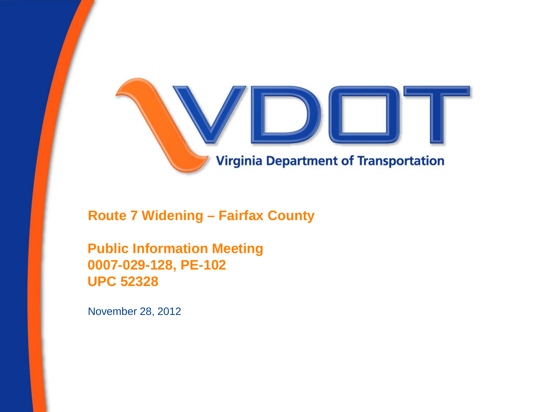

**Route 7 Widening – Fairfax County**

**Public Information Meeting 0007-029-128, PE-102 UPC 52328**

November 28, 2012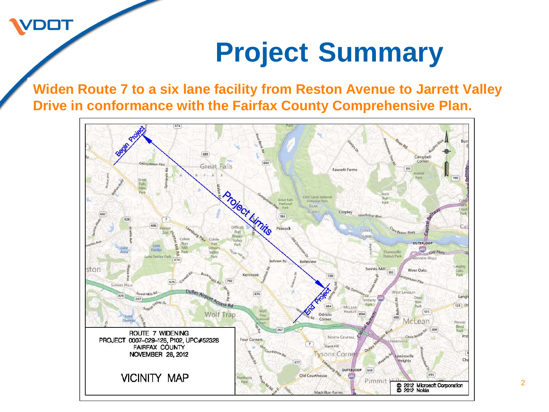## **Project Summary**

**Widen Route 7 to a six lane facility from Reston Avenue to Jarrett Valley Drive in conformance with the Fairfax County Comprehensive Plan.** 

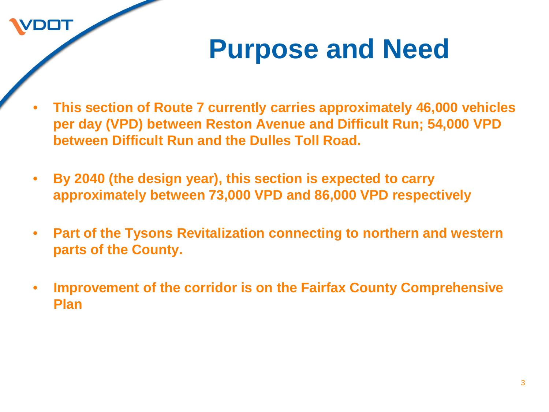### **Purpose and Need**

- **This section of Route 7 currently carries approximately 46,000 vehicles per day (VPD) between Reston Avenue and Difficult Run; 54,000 VPD between Difficult Run and the Dulles Toll Road.**
- **By 2040 (the design year), this section is expected to carry approximately between 73,000 VPD and 86,000 VPD respectively**

- **Part of the Tysons Revitalization connecting to northern and western parts of the County.**
- **Improvement of the corridor is on the Fairfax County Comprehensive Plan**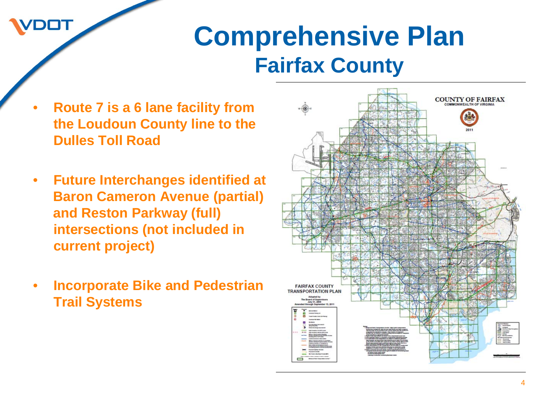### **Comprehensive Plan Fairfax County**

- **Route 7 is a 6 lane facility from the Loudoun County line to the Dulles Toll Road**
- **Future Interchanges identified at Baron Cameron Avenue (partial) and Reston Parkway (full) intersections (not included in current project)**
- **Incorporate Bike and Pedestrian Trail Systems**

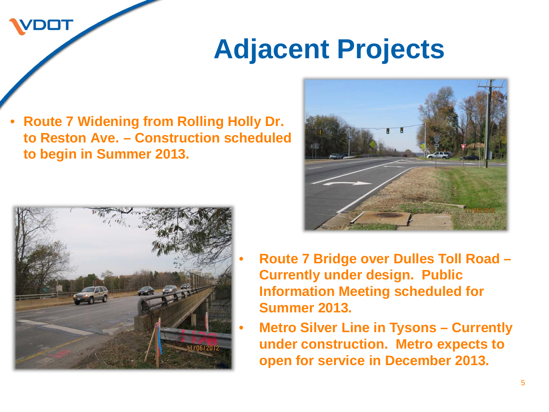### **Adjacent Projects**

• **Route 7 Widening from Rolling Holly Dr. to Reston Ave. – Construction scheduled to begin in Summer 2013.**





- **Route 7 Bridge over Dulles Toll Road – Currently under design. Public Information Meeting scheduled for Summer 2013.**
- **Metro Silver Line in Tysons – Currently under construction. Metro expects to open for service in December 2013.**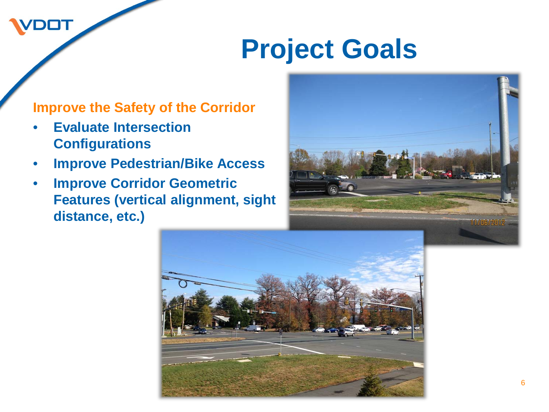#### **Improve the Safety of the Corridor**

• **Evaluate Intersection Configurations**

- **Improve Pedestrian/Bike Access**
- **Improve Corridor Geometric Features (vertical alignment, sight distance, etc.)**



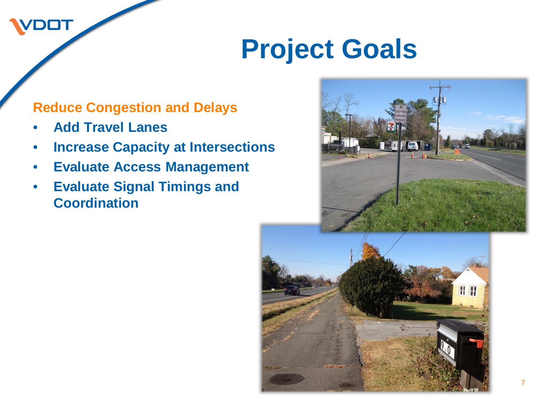#### **Reduce Congestion and Delays**

• **Add Travel Lanes**

DOT

- **Increase Capacity at Intersections**
- **Evaluate Access Management**
- **Evaluate Signal Timings and Coordination**



**H H**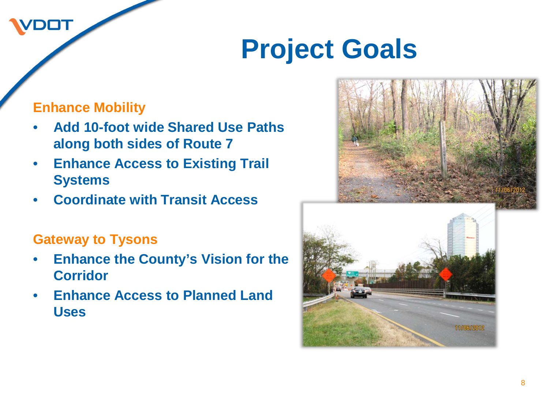#### **Enhance Mobility**

DOT

- **Add 10-foot wide Shared Use Paths along both sides of Route 7**
- **Enhance Access to Existing Trail Systems**
- **Coordinate with Transit Access**

#### **Gateway to Tysons**

- **Enhance the County's Vision for the Corridor**
- **Enhance Access to Planned Land Uses**



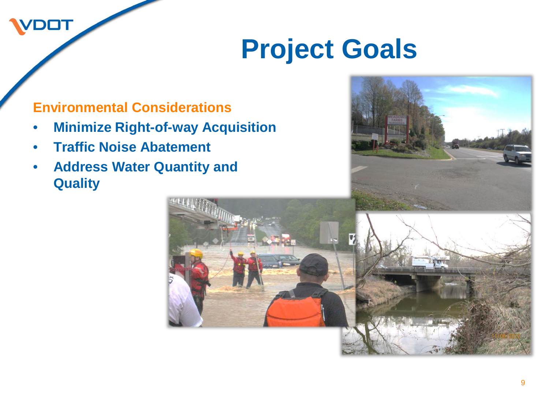#### **Environmental Considerations**

- **Minimize Right-of-way Acquisition**
- **Traffic Noise Abatement**

**DOT** 

• **Address Water Quantity and Quality**

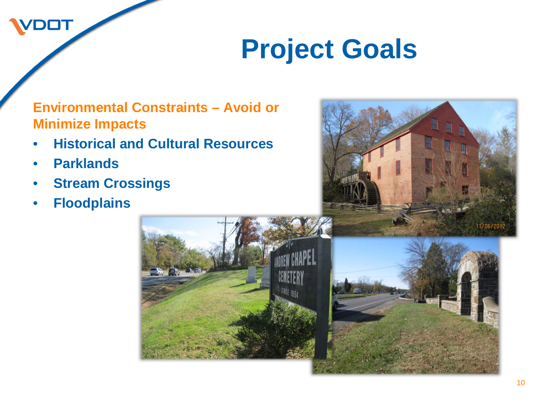#### **Environmental Constraints – Avoid or Minimize Impacts**

- **Historical and Cultural Resources**
- **Parklands**

- **Stream Crossings**
- **Floodplains**



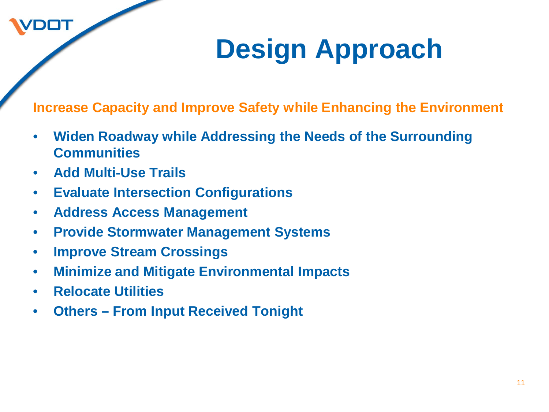# **Design Approach**

**Increase Capacity and Improve Safety while Enhancing the Environment**

- **Widen Roadway while Addressing the Needs of the Surrounding Communities**
- **Add Multi-Use Trails**

- **Evaluate Intersection Configurations**
- **Address Access Management**
- **Provide Stormwater Management Systems**
- **Improve Stream Crossings**
- **Minimize and Mitigate Environmental Impacts**
- **Relocate Utilities**
- **Others – From Input Received Tonight**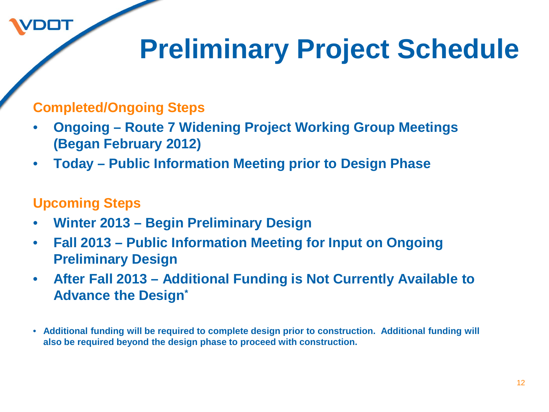## **Preliminary Project Schedule**

#### **Completed/Ongoing Steps**

- **Ongoing – Route 7 Widening Project Working Group Meetings (Began February 2012)**
- **Today – Public Information Meeting prior to Design Phase**

#### **Upcoming Steps**

- **Winter 2013 – Begin Preliminary Design**
- **Fall 2013 – Public Information Meeting for Input on Ongoing Preliminary Design**
- **After Fall 2013 – Additional Funding is Not Currently Available to Advance the Design\***
- **Additional funding will be required to complete design prior to construction. Additional funding will also be required beyond the design phase to proceed with construction.**